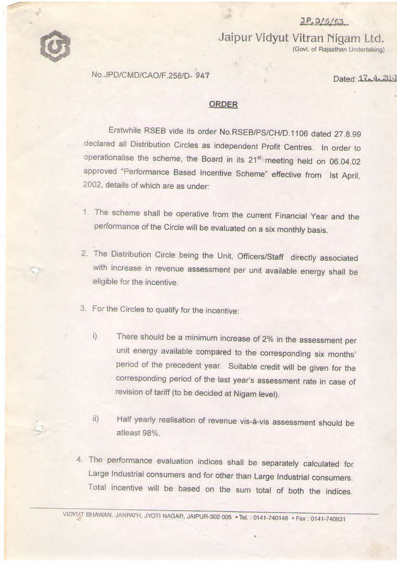



Jaipur Vidyut Vitran Nigam Ltd. (Govt. of Rajasthan Undertaking)

No.JPD/CMD/CAO/F.258/D-947

Dated: 17, 4, 200

### **ORDER**

Erstwhile RSEB vide its order No.RSEB/PS/CH/D.1106 dated 27.8.99 declared all Distribution Circles as independent Profit Centres. In order to operationalise the scheme, the Board in its 21<sup>st</sup> meeting held on 06.04.02 approved "Performance Based Incentive Scheme" effective from Ist April, 2002, details of which are as under:

- 1. The scheme shall be operative from the current Financial Year and the performance of the Circle will be evaluated on a six monthly basis.
- 2. The Distribution Circle being the Unit, Officers/Staff directly associated with increase in revenue assessment per unit available energy shall be eligible for the incentive.
- 3. For the Circles to qualify for the incentive:
	- There should be a minimum increase of 2% in the assessment per  $i)$ unit energy available compared to the corresponding six months' period of the precedent year. Suitable credit will be given for the corresponding period of the last year's assessment rate in case of revision of tariff (to be decided at Nigam level).
	- Half yearly realisation of revenue vis-à-vis assessment should be  $i$ i) atleast 98%.
- 4. The performance evaluation indices shall be separately calculated for. Large Industrial consumers and for other than Large Industrial consumers. Total incentive will be based on the sum total of both the indices.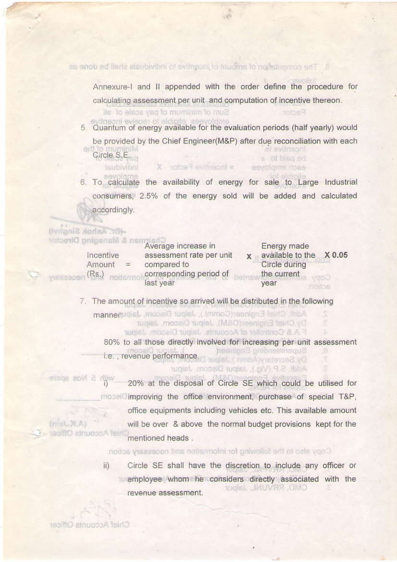8. The computation of amount of uncertive to inducing staff be done as

Annexure-I and II appended with the order define the procedure for calculating assessment per unit and computation of incentive thereon.

Sum of minimum of pay scale of all

svitneoni evisoen ol aldipile 5. Quantum of energy available for the evaluation periods (half yearly) would

be provided by the Chief Engineer(M&P) after due reconciliation with each **Incentive** te Circle S.E. o of blag ed

laubivibni = X notos Factor X eavolams riose 6. To calculate the availability of energy for sale to Large Industrial consumers. 2.5% of the energy sold will be added and calculated accordingly.

#### -(Br. Ashok Singhy) Chairman & Managing Director

| Incentive<br>Amount<br>(Rs) | Average increase in<br>assessment rate per unit<br>compared to<br>corresponding period of | Energy made<br>available to the X 0.05<br>Circle during<br>the current |
|-----------------------------|-------------------------------------------------------------------------------------------|------------------------------------------------------------------------|
|                             | last year                                                                                 | year                                                                   |

7. The amount of incentive so arrived will be distributed in the following

Add), Chief Engineer(Comml.), Jaipur Discom, Jaipuremen Dy Chief Engineer(O&M), Jaipur Discom, Jaipur F.A.& Controller of Accounts, Japur Discom, Japur

80% to all those directly involved for increasing per unit assessment Superintenting Engineer( i.e., revenue performance. wolst (mmbA)yudetoe&yO

Addl S.P (Vio.), Jaipur Discom, Jaipur

with 5 Nos spare 20% at the disposal of Circle SE which could be utilised for model improving the office environment, purchase of special T&P, office equipments including vehicles etc. This available amount  $(n|n, N, n)$ will be over & above the normal budget provisions kept for the isolitO etnuopoA feiri mentioned heads.

Copy also to the following for information and necessary action:

Circle SE shall have the discretion to include any officer or ii) employee whom he considers directly associated with the CMD, RRVUNL, Jaipur revenue assessment.

Chief Accounts Officer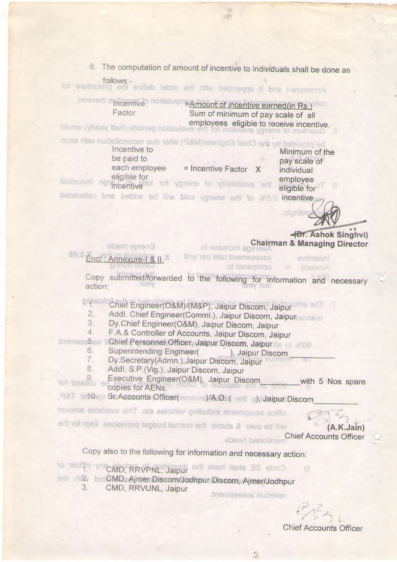8. The computation of amount of incentive to individuals shall be done as

follows:-Annexure-I and II appended with the order define for procedure for

Incentive<sup>o</sup> notistivent Amount of incentive earned (in Rs.) Sum of minimum of pay scale of all Factor employees eligible to receive incentive.

be provided by the Chief Engineer(M&P) after due reconciliation with each

| Incentive to<br>be paid to    |                              |  |
|-------------------------------|------------------------------|--|
| each employee<br>eligible for | = Incentive Factor<br>$\chi$ |  |
| incentive                     | not ypens to villdslievs and |  |

Minimum of the pay scale of individual employee eligible for

betaluoleo bris bebbs ed lliw bloa ygrene erlt to #a.s incentive

Vipriba -**(Br.** Ashok Singhvi)

**Chairman & Managing Director** ni easetoni epatev

Energy made  $0.05$ Encl: Annexure-1 & II.

assessment rate per unit evilneoni Amount = tompared to

Copy submitted/forwarded to the following for information and necessary action:

DA Wollchief Engineer(O&M)/(M&P), Jaipur Discom, Jaipur

Addl. Chief Engineer(Comml.), Jaipur Discom, Jaipur  $\overline{2}$ .

- 3. Dy.Chief Engineer(O&M), Jaipur Discom, Jaipur
- F.A.& Controller of Accounts, Jaipur Discom, Jaipur  $4.$

Inamies-5.5 Chief Personnel Officer, Jaipur Discom, Jaipur Is of NOB

- Superintending Engineer(
), Jaipur Discom 6.
- Dy.Secretary(Admn.), Jaipur Discom, Jaipur 7.
- 8. Addl. S.P.(Vig.), Jaipur Discom, Jaipur

Executive Engineer(O&M), Jaipur Discom tol besildu er with 5 Nos spare copies for AENs.

- F&T Information St.Accounts Officer(nowne)/A.O.(entra), Jaipur Discom
- office equipments including vehicles etc. This available amount

will be over & about the normal budget provisions kept for the

A.K.Jain) **Chief Accounts Officer** 

# Copy also to the following for information and necessary action:

- TO TESTA CMD, RRVPNL, Jaipur Circle SE shall have the
- ent (2) be CMD, Ajmer Discom/Jodhpur-Discom, Ajmer/Jodhpur
	- 3. CMD, RRVUNL, Jaipur

Jnemaaseas sunever

š

rentioned heads

815 **Chief Accounts Officer** 

(年)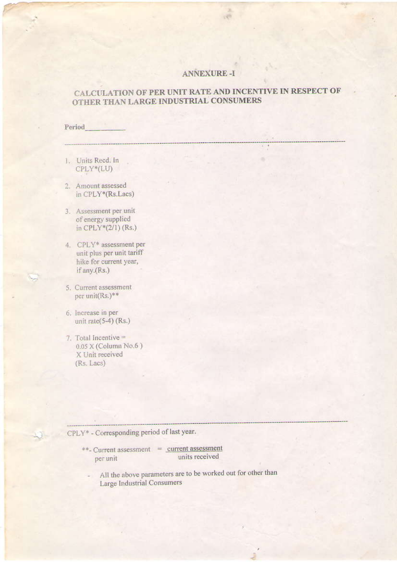### **ANNEXURE-I**

### CALCULATION OF PER UNIT RATE AND INCENTIVE IN RESPECT OF OTHER THAN LARGE INDUSTRIAL CONSUMERS

 $\frac{1}{2}$ 

Period

- 1. Units Reed. In CPLY\*(LU)
- 2. Amount assessed in CPLY\*(Rs.Lacs)

- 3. Assessment per unit of energy supplied in CPLY\*(2/1) (Rs.)
- 4. CPLY\* assessment per unit plus per unit tariff hike for current year, if any.(Rs.)
- 5. Current assessment per unit(Rs.)\*\*
- 6. Increase in per unit rate $(5-4)$  (Rs.)
- 7. Total Incentive = 0.05 X (Column No.6) X Unit received (Rs. Lacs)

## CPLY\* - Corresponding period of last year.

| **- Current assessment | current assessment |
|------------------------|--------------------|
| per unit               | units received     |

All the above parameters are to be worked out for other than Large Industrial Consumers